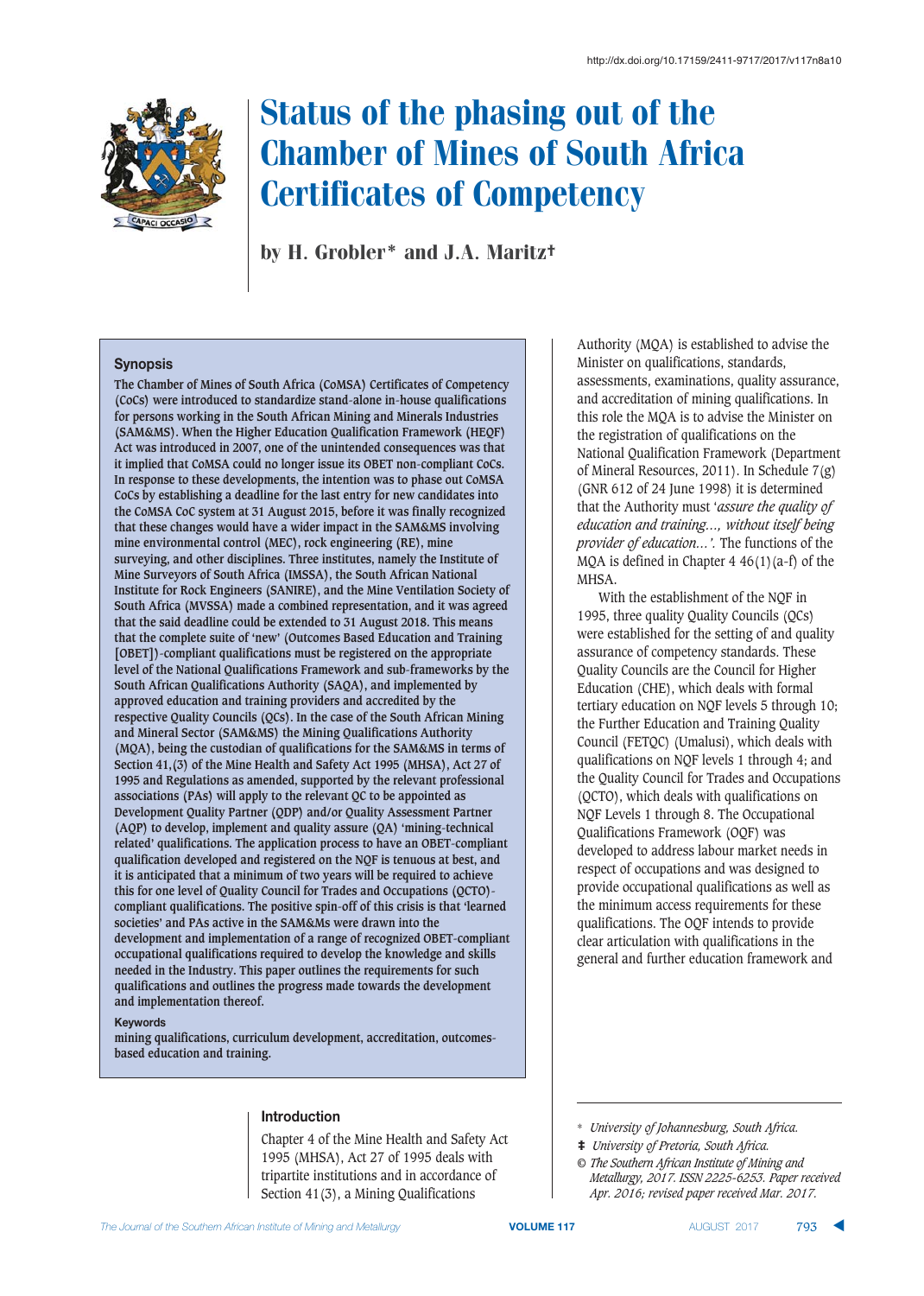

by H. Grobler\* and J.A. Maritz†

#### **Synopsis**

**The Chamber of Mines of South Africa (CoMSA) Certificates of Competency (CoCs) were introduced to standardize stand-alone in-house qualifications for persons working in the South African Mining and Minerals Industries (SAM&MS). When the Higher Education Qualification Framework (HEQF) Act was introduced in 2007, one of the unintended consequences was that it implied that CoMSA could no longer issue its OBET non-compliant CoCs. In response to these developments, the intention was to phase out CoMSA CoCs by establishing a deadline for the last entry for new candidates into the CoMSA CoC system at 31 August 2015, before it was finally recognized that these changes would have a wider impact in the SAM&MS involving mine environmental control (MEC), rock engineering (RE), mine surveying, and other disciplines. Three institutes, namely the Institute of Mine Surveyors of South Africa (IMSSA), the South African National Institute for Rock Engineers (SANIRE), and the Mine Ventilation Society of South Africa (MVSSA) made a combined representation, and it was agreed that the said deadline could be extended to 31 August 2018. This means that the complete suite of 'new' (Outcomes Based Education and Training [OBET])-compliant qualifications must be registered on the appropriate level of the National Qualifications Framework and sub-frameworks by the South African Qualifications Authority (SAQA), and implemented by approved education and training providers and accredited by the respective Quality Councils (QCs). In the case of the South African Mining and Mineral Sector (SAM&MS) the Mining Qualifications Authority (MQA), being the custodian of qualificationS for the SAM&MS in terms of Section 41,(3) of the Mine Health and Safety Act 1995 (MHSA), Act 27 of 1995 and Regulations as amended, supported by the relevant professional associations (PAs) will apply to the relevant QC to be appointed as Development Quality Partner (QDP) and/or Quality Assessment Partner (AQP) to develop, implement and quality assure (QA) 'mining-technical related' qualifications. The application process to have an OBET-compliant qualification developed and registered on the NQF is tenuous at best, and it is anticipated that a minimum of two years will be required to achieve this for one level of Quality Council for Trades and Occupations (QCTO) compliant qualifications. The positive spin-off of this crisis is that 'learned societies' and PAs active in the SAM&Ms were drawn into the development and implementation of a range of recognized OBET-compliant occupational qualifications required to develop the knowledge and skills needed in the Industry. This paper outlines the requirements for such qualifications and outlines the progress made towards the development and implementation thereof.**

#### **Keywords**

**mining qualifications, curriculum development, accreditation, outcomesbased education and training.** 

# **Introduction**

Chapter 4 of the Mine Health and Safety Act 1995 (MHSA), Act 27 of 1995 deals with tripartite institutions and in accordance of Section 41(3), a Mining Qualifications

Authority (MQA) is established to advise the Minister on qualifications, standards, assessments, examinations, quality assurance, and accreditation of mining qualifications. In this role the MQA is to advise the Minister on the registration of qualifications on the National Qualification Framework (Department of Mineral Resources, 2011). In Schedule 7(g) (GNR 612 of 24 June 1998) it is determined that the Authority must '*assure the quality of education and training…, without itself being provider of education…'.* The functions of the MOA is defined in Chapter  $4\,46(1)(a-f)$  of the MHSA.

With the establishment of the NQF in 1995, three quality Quality Councils (QCs) were established for the setting of and quality assurance of competency standards. These Quality Councils are the Council for Higher Education (CHE), which deals with formal tertiary education on NQF levels 5 through 10; the Further Education and Training Quality Council (FETQC) (Umalusi), which deals with qualifications on NQF levels 1 through 4; and the Quality Council for Trades and Occupations (QCTO), which deals with qualifications on NQF Levels 1 through 8. The Occupational Qualifications Framework (OQF) was developed to address labour market needs in respect of occupations and was designed to provide occupational qualifications as well as the minimum access requirements for these qualifications. The OQF intends to provide clear articulation with qualifications in the general and further education framework and

<sup>\*</sup> *University of Johannesburg, South Africa.*

<sup>‡</sup> *University of Pretoria, South Africa.*

*<sup>©</sup> The Southern African Institute of Mining and Metallurgy, 2017. ISSN 2225-6253. Paper received Apr. 2016; revised paper received Mar. 2017.*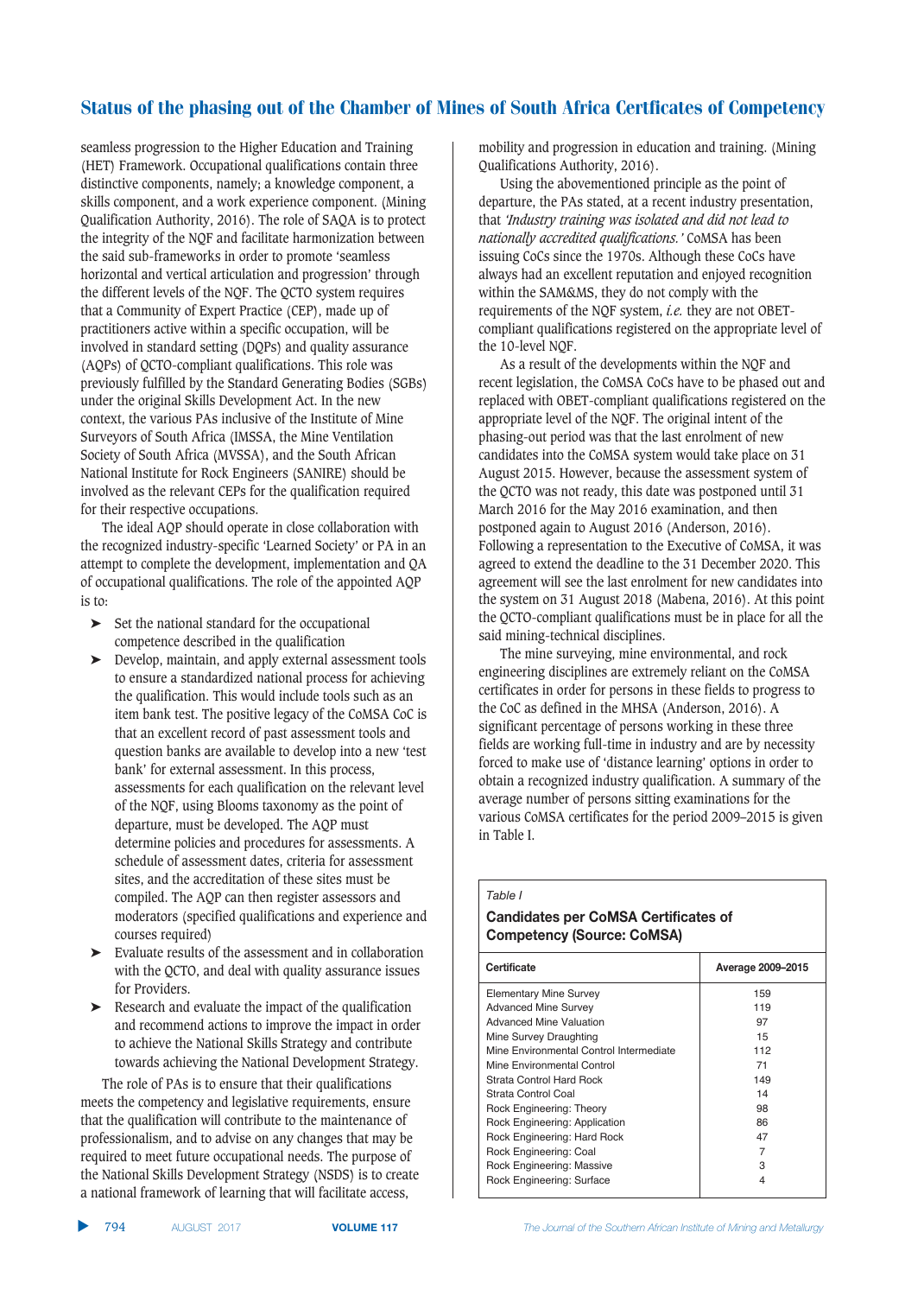seamless progression to the Higher Education and Training (HET) Framework. Occupational qualifications contain three distinctive components, namely; a knowledge component, a skills component, and a work experience component. (Mining Qualification Authority, 2016). The role of SAQA is to protect the integrity of the NQF and facilitate harmonization between the said sub-frameworks in order to promote 'seamless horizontal and vertical articulation and progression' through the different levels of the NQF. The QCTO system requires that a Community of Expert Practice (CEP), made up of practitioners active within a specific occupation, will be involved in standard setting (DQPs) and quality assurance (AQPs) of QCTO-compliant qualifications. This role was previously fulfilled by the Standard Generating Bodies (SGBs) under the original Skills Development Act. In the new context, the various PAs inclusive of the Institute of Mine Surveyors of South Africa (IMSSA, the Mine Ventilation Society of South Africa (MVSSA), and the South African National Institute for Rock Engineers (SANIRE) should be involved as the relevant CEPs for the qualification required for their respective occupations.

The ideal AQP should operate in close collaboration with the recognized industry-specific 'Learned Society' or PA in an attempt to complete the development, implementation and QA of occupational qualifications. The role of the appointed AQP is to:

- ➤ Set the national standard for the occupational competence described in the qualification
- ➤ Develop, maintain, and apply external assessment tools to ensure a standardized national process for achieving the qualification. This would include tools such as an item bank test. The positive legacy of the CoMSA CoC is that an excellent record of past assessment tools and question banks are available to develop into a new 'test bank' for external assessment. In this process, assessments for each qualification on the relevant level of the NQF, using Blooms taxonomy as the point of departure, must be developed. The AQP must determine policies and procedures for assessments. A schedule of assessment dates, criteria for assessment sites, and the accreditation of these sites must be compiled. The AQP can then register assessors and moderators (specified qualifications and experience and courses required)
- ➤ Evaluate results of the assessment and in collaboration with the QCTO, and deal with quality assurance issues for Providers.
- ➤ Research and evaluate the impact of the qualification and recommend actions to improve the impact in order to achieve the National Skills Strategy and contribute towards achieving the National Development Strategy.

The role of PAs is to ensure that their qualifications meets the competency and legislative requirements, ensure that the qualification will contribute to the maintenance of professionalism, and to advise on any changes that may be required to meet future occupational needs. The purpose of the National Skills Development Strategy (NSDS) is to create a national framework of learning that will facilitate access,

mobility and progression in education and training. (Mining Qualifications Authority, 2016).

Using the abovementioned principle as the point of departure, the PAs stated, at a recent industry presentation, that *'Industry training was isolated and did not lead to nationally accredited qualifications.'* CoMSA has been issuing CoCs since the 1970s. Although these CoCs have always had an excellent reputation and enjoyed recognition within the SAM&MS, they do not comply with the requirements of the NQF system, *i.e.* they are not OBETcompliant qualifications registered on the appropriate level of the 10-level NQF.

As a result of the developments within the NQF and recent legislation, the CoMSA CoCs have to be phased out and replaced with OBET-compliant qualifications registered on the appropriate level of the NQF. The original intent of the phasing-out period was that the last enrolment of new candidates into the CoMSA system would take place on 31 August 2015. However, because the assessment system of the QCTO was not ready, this date was postponed until 31 March 2016 for the May 2016 examination, and then postponed again to August 2016 (Anderson, 2016). Following a representation to the Executive of CoMSA, it was agreed to extend the deadline to the 31 December 2020. This agreement will see the last enrolment for new candidates into the system on 31 August 2018 (Mabena, 2016). At this point the QCTO-compliant qualifications must be in place for all the said mining-technical disciplines.

The mine surveying, mine environmental, and rock engineering disciplines are extremely reliant on the CoMSA certificates in order for persons in these fields to progress to the CoC as defined in the MHSA (Anderson, 2016). A significant percentage of persons working in these three fields are working full-time in industry and are by necessity forced to make use of 'distance learning' options in order to obtain a recognized industry qualification. A summary of the average number of persons sitting examinations for the various CoMSA certificates for the period 2009–2015 is given in Table I.

#### *Table I*

# **Candidates per CoMSA Certificates of** Competency (Source: CoMSA)

| Certificate                             | Average 2009-2015 |
|-----------------------------------------|-------------------|
| <b>Elementary Mine Survey</b>           | 159               |
| <b>Advanced Mine Survey</b>             | 119               |
| <b>Advanced Mine Valuation</b>          | 97                |
| Mine Survey Draughting                  | 15                |
| Mine Environmental Control Intermediate | 112               |
| Mine Environmental Control              | 71                |
| Strata Control Hard Rock                | 149               |
| Strata Control Coal                     | 14                |
| Rock Engineering: Theory                | 98                |
| Rock Engineering: Application           | 86                |
| Rock Engineering: Hard Rock             | 47                |
| Rock Engineering: Coal                  | 7                 |
| Rock Engineering: Massive               | З                 |
| Rock Engineering: Surface               | 4                 |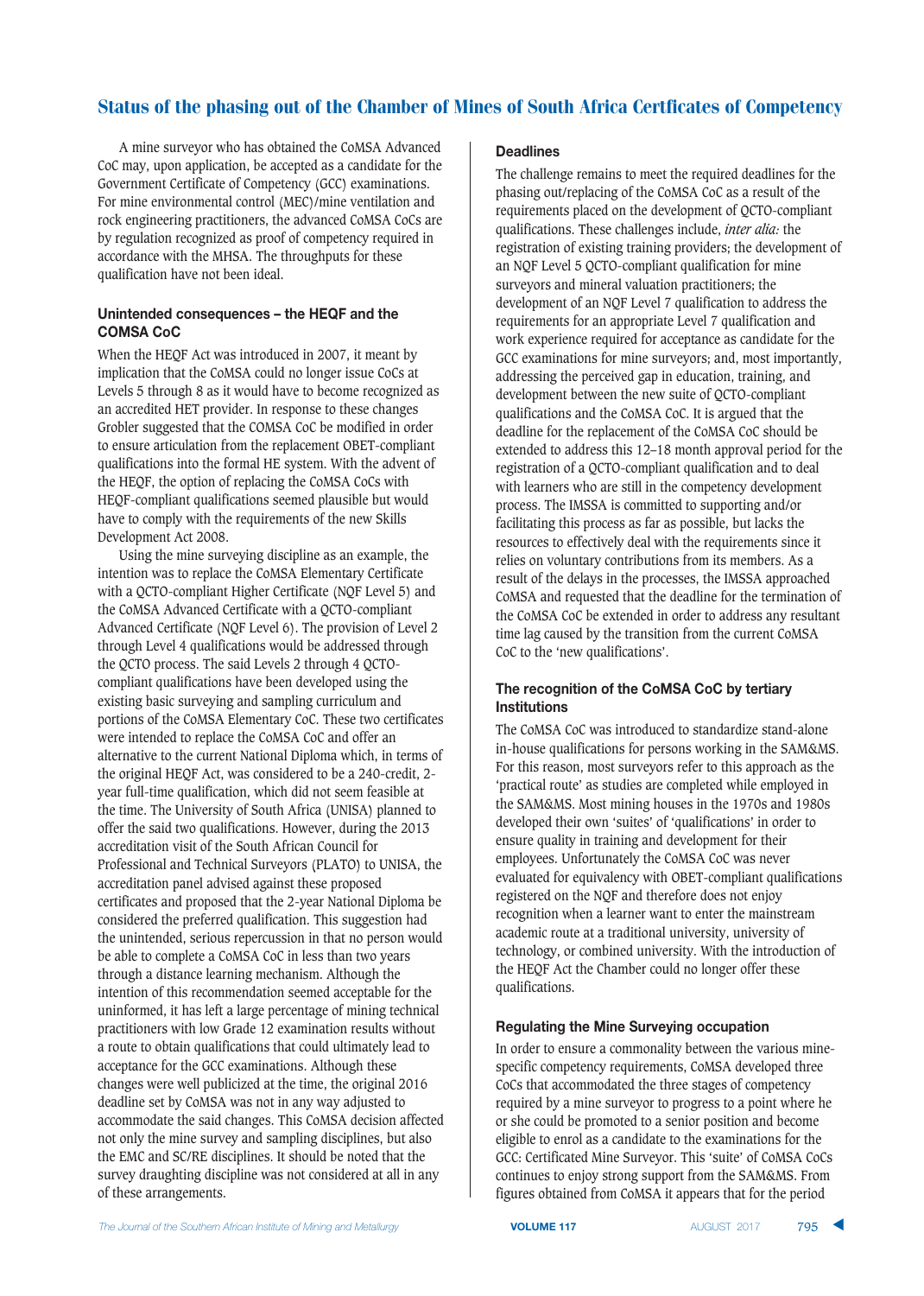A mine surveyor who has obtained the CoMSA Advanced CoC may, upon application, be accepted as a candidate for the Government Certificate of Competency (GCC) examinations. For mine environmental control (MEC)/mine ventilation and rock engineering practitioners, the advanced CoMSA CoCs are by regulation recognized as proof of competency required in accordance with the MHSA. The throughputs for these qualification have not been ideal.

## Unintended consequences - the HEQF and the **COMSA CoC**

When the HEQF Act was introduced in 2007, it meant by implication that the CoMSA could no longer issue CoCs at Levels 5 through 8 as it would have to become recognized as an accredited HET provider. In response to these changes Grobler suggested that the COMSA CoC be modified in order to ensure articulation from the replacement OBET-compliant qualifications into the formal HE system. With the advent of the HEQF, the option of replacing the CoMSA CoCs with HEQF-compliant qualifications seemed plausible but would have to comply with the requirements of the new Skills Development Act 2008.

Using the mine surveying discipline as an example, the intention was to replace the CoMSA Elementary Certificate with a QCTO-compliant Higher Certificate (NQF Level 5) and the CoMSA Advanced Certificate with a QCTO-compliant Advanced Certificate (NQF Level 6). The provision of Level 2 through Level 4 qualifications would be addressed through the QCTO process. The said Levels 2 through 4 QCTOcompliant qualifications have been developed using the existing basic surveying and sampling curriculum and portions of the CoMSA Elementary CoC. These two certificates were intended to replace the CoMSA CoC and offer an alternative to the current National Diploma which, in terms of the original HEQF Act, was considered to be a 240-credit, 2 year full-time qualification, which did not seem feasible at the time. The University of South Africa (UNISA) planned to offer the said two qualifications. However, during the 2013 accreditation visit of the South African Council for Professional and Technical Surveyors (PLATO) to UNISA, the accreditation panel advised against these proposed certificates and proposed that the 2-year National Diploma be considered the preferred qualification. This suggestion had the unintended, serious repercussion in that no person would be able to complete a CoMSA CoC in less than two years through a distance learning mechanism. Although the intention of this recommendation seemed acceptable for the uninformed, it has left a large percentage of mining technical practitioners with low Grade 12 examination results without a route to obtain qualifications that could ultimately lead to acceptance for the GCC examinations. Although these changes were well publicized at the time, the original 2016 deadline set by CoMSA was not in any way adjusted to accommodate the said changes. This CoMSA decision affected not only the mine survey and sampling disciplines, but also the EMC and SC/RE disciplines. It should be noted that the survey draughting discipline was not considered at all in any of these arrangements.

#### **Deadlines**

The challenge remains to meet the required deadlines for the phasing out/replacing of the CoMSA CoC as a result of the requirements placed on the development of QCTO-compliant qualifications. These challenges include, *inter alia:* the registration of existing training providers; the development of an NQF Level 5 QCTO-compliant qualification for mine surveyors and mineral valuation practitioners; the development of an NQF Level 7 qualification to address the requirements for an appropriate Level 7 qualification and work experience required for acceptance as candidate for the GCC examinations for mine surveyors; and, most importantly, addressing the perceived gap in education, training, and development between the new suite of QCTO-compliant qualifications and the CoMSA CoC. It is argued that the deadline for the replacement of the CoMSA CoC should be extended to address this 12–18 month approval period for the registration of a QCTO-compliant qualification and to deal with learners who are still in the competency development process. The IMSSA is committed to supporting and/or facilitating this process as far as possible, but lacks the resources to effectively deal with the requirements since it relies on voluntary contributions from its members. As a result of the delays in the processes, the IMSSA approached CoMSA and requested that the deadline for the termination of the CoMSA CoC be extended in order to address any resultant time lag caused by the transition from the current CoMSA CoC to the 'new qualifications'.

## The recognition of the CoMSA CoC by tertiary **Institutions**

The CoMSA CoC was introduced to standardize stand-alone in-house qualifications for persons working in the SAM&MS. For this reason, most surveyors refer to this approach as the 'practical route' as studies are completed while employed in the SAM&MS. Most mining houses in the 1970s and 1980s developed their own 'suites' of 'qualifications' in order to ensure quality in training and development for their employees. Unfortunately the CoMSA CoC was never evaluated for equivalency with OBET-compliant qualifications registered on the NQF and therefore does not enjoy recognition when a learner want to enter the mainstream academic route at a traditional university, university of technology, or combined university. With the introduction of the HEQF Act the Chamber could no longer offer these qualifications.

## **Regulating the Mine Surveying occupation**

In order to ensure a commonality between the various minespecific competency requirements, CoMSA developed three CoCs that accommodated the three stages of competency required by a mine surveyor to progress to a point where he or she could be promoted to a senior position and become eligible to enrol as a candidate to the examinations for the GCC: Certificated Mine Surveyor. This 'suite' of CoMSA CoCs continues to enjoy strong support from the SAM&MS. From figures obtained from CoMSA it appears that for the period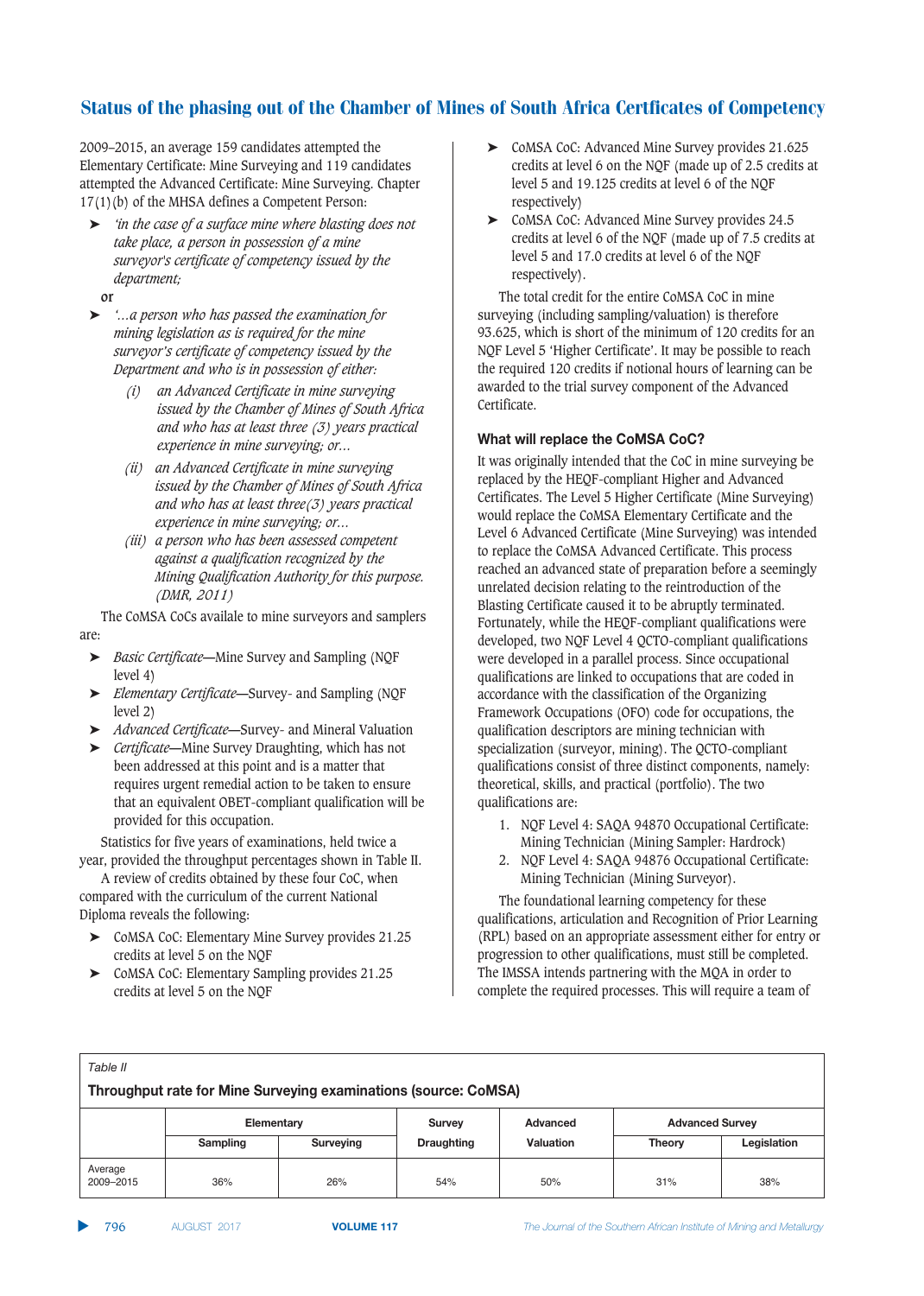2009–2015, an average 159 candidates attempted the Elementary Certificate: Mine Surveying and 119 candidates attempted the Advanced Certificate: Mine Surveying. Chapter 17(1)(b) of the MHSA defines a Competent Person:

- ➤ *'in the case of a surface mine where blasting does not take place, a person in possession of a mine surveyor's certificate of competency issued by the department;*
- **or**
- ➤ *'…a person who has passed the examination for mining legislation as is required for the mine surveyor's certificate of competency issued by the Department and who is in possession of either:*
	- *(i) an Advanced Certificate in mine surveying issued by the Chamber of Mines of South Africa and who has at least three (3) years practical experience in mine surveying; or…*
	- *(ii) an Advanced Certificate in mine surveying issued by the Chamber of Mines of South Africa and who has at least three(3) years practical experience in mine surveying; or…*
	- *(iii) a person who has been assessed competent against a qualification recognized by the Mining Qualification Authority for this purpose. (DMR, 2011)*

The CoMSA CoCs availale to mine surveyors and samplers are:

- ➤ *Basic Certificate—*Mine Survey and Sampling (NQF level 4)
- ➤ *Elementary Certificate—*Survey- and Sampling (NQF level 2)
- ➤ *Advanced Certificate—*Survey- and Mineral Valuation
- ➤ *Certificate—*Mine Survey Draughting, which has not been addressed at this point and is a matter that requires urgent remedial action to be taken to ensure that an equivalent OBET-compliant qualification will be provided for this occupation.

Statistics for five years of examinations, held twice a year, provided the throughput percentages shown in Table II.

A review of credits obtained by these four CoC, when compared with the curriculum of the current National Diploma reveals the following:

- ➤ CoMSA CoC: Elementary Mine Survey provides 21.25 credits at level 5 on the NQF
- ➤ CoMSA CoC: Elementary Sampling provides 21.25 credits at level 5 on the NQF
- ➤ CoMSA CoC: Advanced Mine Survey provides 21.625 credits at level 6 on the NQF (made up of 2.5 credits at level 5 and 19.125 credits at level 6 of the NQF respectively)
- ➤ CoMSA CoC: Advanced Mine Survey provides 24.5 credits at level 6 of the NQF (made up of 7.5 credits at level 5 and 17.0 credits at level 6 of the NQF respectively).

The total credit for the entire CoMSA CoC in mine surveying (including sampling/valuation) is therefore 93.625, which is short of the minimum of 120 credits for an NQF Level 5 'Higher Certificate'. It may be possible to reach the required 120 credits if notional hours of learning can be awarded to the trial survey component of the Advanced Certificate.

# **What will replace the CoMSA CoC?**

It was originally intended that the CoC in mine surveying be replaced by the HEQF-compliant Higher and Advanced Certificates. The Level 5 Higher Certificate (Mine Surveying) would replace the CoMSA Elementary Certificate and the Level 6 Advanced Certificate (Mine Surveying) was intended to replace the CoMSA Advanced Certificate. This process reached an advanced state of preparation before a seemingly unrelated decision relating to the reintroduction of the Blasting Certificate caused it to be abruptly terminated. Fortunately, while the HEQF-compliant qualifications were developed, two NQF Level 4 QCTO-compliant qualifications were developed in a parallel process. Since occupational qualifications are linked to occupations that are coded in accordance with the classification of the Organizing Framework Occupations (OFO) code for occupations, the qualification descriptors are mining technician with specialization (surveyor, mining). The QCTO-compliant qualifications consist of three distinct components, namely: theoretical, skills, and practical (portfolio). The two qualifications are:

- 1. NQF Level 4: SAQA 94870 Occupational Certificate: Mining Technician (Mining Sampler: Hardrock)
- 2. NQF Level 4: SAQA 94876 Occupational Certificate: Mining Technician (Mining Surveyor).

The foundational learning competency for these qualifications, articulation and Recognition of Prior Learning (RPL) based on an appropriate assessment either for entry or progression to other qualifications, must still be completed. The IMSSA intends partnering with the MQA in order to complete the required processes. This will require a team of

| Table II                                                        |            |           |                   |                  |                        |             |  |  |  |
|-----------------------------------------------------------------|------------|-----------|-------------------|------------------|------------------------|-------------|--|--|--|
| Throughput rate for Mine Surveying examinations (source: CoMSA) |            |           |                   |                  |                        |             |  |  |  |
|                                                                 | Elementary |           | Survey            | Advanced         | <b>Advanced Survey</b> |             |  |  |  |
|                                                                 | Sampling   | Surveying | <b>Draughting</b> | <b>Valuation</b> | <b>Theory</b>          | Legislation |  |  |  |
| Average<br>2009-2015                                            | 36%        | 26%       | 54%               | 50%              | 31%                    | 38%         |  |  |  |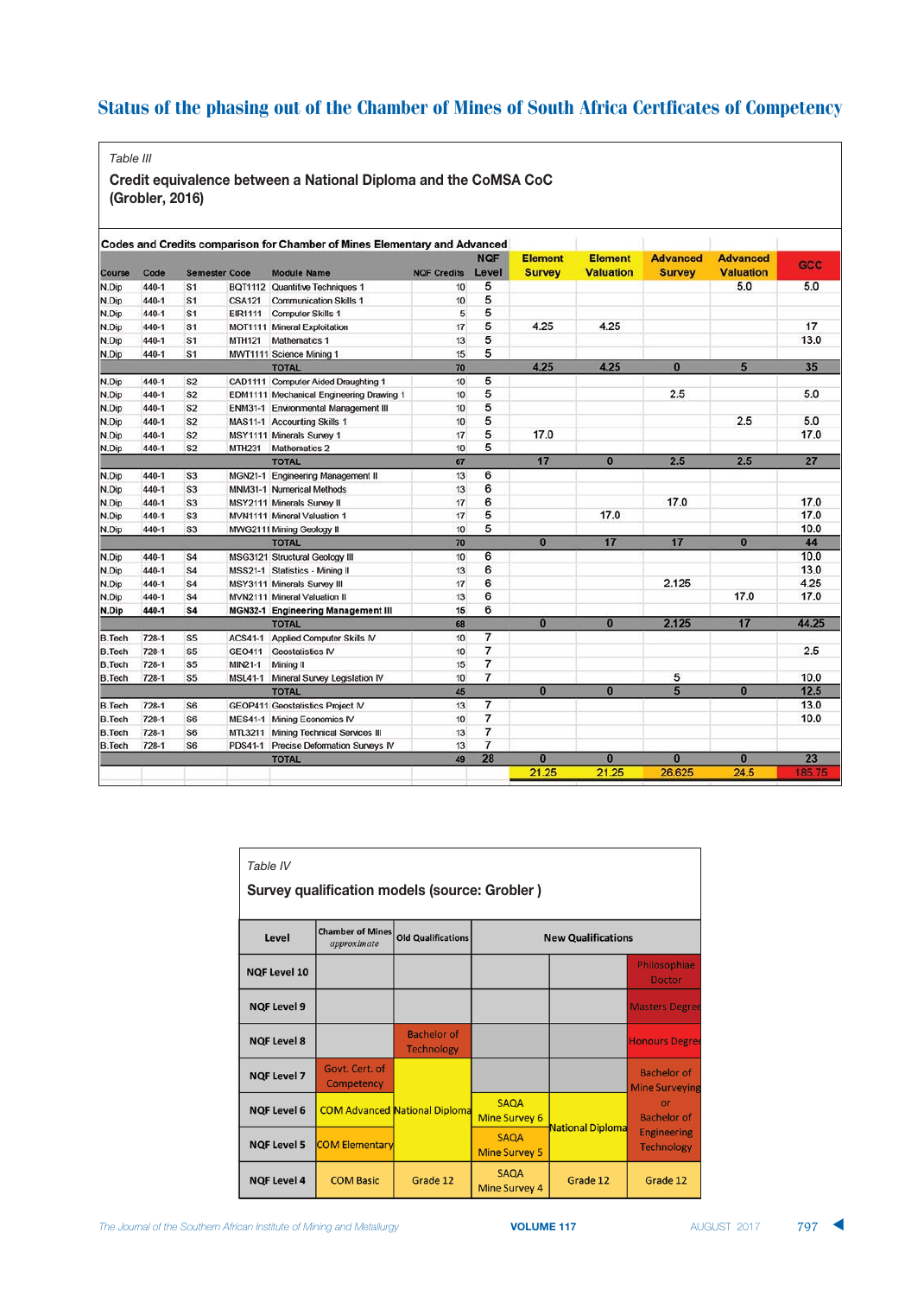*Table III*

Credit equivalence between a National Diploma and the CoMSA CoC (Grobler, 2016)

|               |         |                      |                |                                             |                    | <b>NQF</b>     | <b>Element</b> | <b>Element</b>   | <b>Advanced</b> | <b>Advanced</b>  |        |
|---------------|---------|----------------------|----------------|---------------------------------------------|--------------------|----------------|----------------|------------------|-----------------|------------------|--------|
| Course        | Code    | <b>Semester Code</b> |                | <b>Module Name</b>                          | <b>NQF Credits</b> | Level          | <b>Survey</b>  | <b>Valuation</b> | <b>Survey</b>   | <b>Valuation</b> | GCC    |
| N.Dip         | 440-1   | S <sub>1</sub>       |                | BQT1112 Quantitive Techniques 1             | 10                 | 5              |                |                  |                 | 5.0              | 5.0    |
| N.Dip         | 440-1   | S <sub>1</sub>       | <b>CSA121</b>  | <b>Communication Skills 1</b>               | 10                 | 5              |                |                  |                 |                  |        |
| N.Dip         | 440-1   | S <sub>1</sub>       | <b>EIR1111</b> | Computer Skills 1                           | 5                  | 5              |                |                  |                 |                  |        |
| N.Dip         | 440-1   | S <sub>1</sub>       |                | MOT1111 Mineral Exploitation                | 17                 | 5              | 4.25           | 4.25             |                 |                  | 17     |
| N.Dip         | 440-1   | S <sub>1</sub>       | <b>MTH121</b>  | Mathematics 1                               | 13                 | 5              |                |                  |                 |                  | 13.0   |
| N.Dip         | 440-1   | S <sub>1</sub>       |                | MWT1111 Science Mining 1                    | 15                 | 5              |                |                  |                 |                  |        |
|               |         |                      |                | <b>TOTAL</b>                                | 70                 |                | 4.25           | 4.25             | $\bf{0}$        | 5                | 35     |
| N.Dip         | 440-1   | S <sub>2</sub>       |                | CAD1111 Computer Aided Draughting 1         | 10                 | 5              |                |                  |                 |                  |        |
| N.Dip         | 440-1   | S <sub>2</sub>       |                | EDM1111 Mechanical Engineering Drawing 1    | 10                 | 5              |                |                  | 2.5             |                  | 5.0    |
| N.Dip         | 440-1   | S <sub>2</sub>       |                | <b>ENM31-1 Environmental Management III</b> | 10                 | 5              |                |                  |                 |                  |        |
| N.Dip         | 440-1   | S <sub>2</sub>       |                | MAS11-1 Accounting Skills 1                 | 10                 | 5              |                |                  |                 | 2.5              | 5.0    |
| N.Dip         | 440-1   | S <sub>2</sub>       |                | MSY1111 Minerals Survey 1                   | 17                 | 5              | 17.0           |                  |                 |                  | 17.0   |
| N.Dip         | 440-1   | S <sub>2</sub>       | <b>MTH231</b>  | <b>Mathematics 2</b>                        | 10                 | 5              |                |                  |                 |                  |        |
|               |         |                      |                | <b>TOTAL</b>                                | 67                 |                | 17             | $\bf{0}$         | 2.5             | 2.5              | 27     |
| N.Dip         | 440-1   | S <sub>3</sub>       |                | MGN21-1 Engineering Management II           | 13                 | 6              |                |                  |                 |                  |        |
| N.Dip         | 440-1   | S <sub>3</sub>       |                | MNM31-1 Numerical Methods                   | 13                 | 6              |                |                  |                 |                  |        |
| N.Dip         | 440-1   | S <sub>3</sub>       |                | MSY2111 Minerals Survey II                  | 17                 | 6              |                |                  | 17.0            |                  | 17.0   |
| N.Dip         | 440-1   | S <sub>3</sub>       |                | MVN1111 Mineral Valuation 1                 | 17                 | 5              |                | 17.0             |                 |                  | 17.0   |
| N.Dip         | 440-1   | S <sub>3</sub>       |                | MWG2111 Mining Geology II                   | 10                 | 5              |                |                  |                 |                  | 10.0   |
|               |         |                      |                | <b>TOTAL</b>                                | 70                 |                | $\bf{0}$       | 17               | 17              | $\bf{0}$         | 44     |
| N.Dip         | 440-1   | S <sub>4</sub>       |                | MSG3121 Structural Geology III              | 10                 | 6              |                |                  |                 |                  | 10.0   |
| N.Dip         | 440-1   | S4                   |                | MSS21-1 Statistics - Mining II              | 13                 | 6              |                |                  |                 |                  | 13.0   |
| N.Dip         | 440-1   | <b>S4</b>            |                | MSY3111 Minerals Survey III                 | 17                 | 6              |                |                  | 2.125           |                  | 4.25   |
| N.Dip         | 440-1   | S <sub>4</sub>       |                | MVN2111 Mineral Valuation II                | 13                 | 6              |                |                  |                 | 17.0             | 17.0   |
| N.Dip         | 440-1   | <b>S4</b>            |                | <b>MGN32-1 Engineering Management III</b>   | 15                 | 6              |                |                  |                 |                  |        |
|               |         |                      |                | <b>TOTAL</b>                                | 68                 |                | $\bf{0}$       | $\bf{0}$         | 2.125           | 17               | 44.25  |
| <b>B.Tech</b> | $728-1$ | S <sub>5</sub>       |                | ACS41-1 Applied Computer Skills IV          | 10                 | 7              |                |                  |                 |                  |        |
| <b>B.Tech</b> | 728-1   | S <sub>5</sub>       | GEO411         | <b>Geostatistics IV</b>                     | 10                 | $\overline{7}$ |                |                  |                 |                  | 2.5    |
| <b>B.Tech</b> | 728-1   | S <sub>5</sub>       | MIN21-1        | Mining II                                   | 15                 | $\overline{7}$ |                |                  |                 |                  |        |
| <b>B.Tech</b> | 728-1   | S <sub>5</sub>       | <b>MSL41-1</b> | Mineral Survey Legislation IV               | 10                 | $\overline{7}$ |                |                  | 5               |                  | 10.0   |
|               |         |                      |                | <b>TOTAL</b>                                | 45                 |                | $\bf{0}$       | $\bf{0}$         | 5               | $\bf{0}$         | 12.5   |
| <b>B.Tech</b> | $728-1$ | S <sub>6</sub>       |                | <b>GEOP411 Geostatistics Project IV</b>     | 13                 | 7              |                |                  |                 |                  | 13.0   |
| <b>B.Tech</b> | 728-1   | S <sub>6</sub>       |                | <b>MES41-1 Mining Economics IV</b>          | 10                 | $\overline{7}$ |                |                  |                 |                  | 10.0   |
| <b>B.Tech</b> | 728-1   | S <sub>6</sub>       |                | MTL3211 Mining Technical Services III       | 13                 | $\overline{7}$ |                |                  |                 |                  |        |
| <b>B.Tech</b> | 728-1   | S <sub>6</sub>       |                | PDS41-1 Precise Deformation Surveys IV      | 13                 | $\overline{7}$ |                |                  |                 |                  |        |
|               |         |                      |                | <b>TOTAL</b>                                | 49                 | 28             | $\bf{0}$       | $\bf{0}$         | $\bf{0}$        | $\bf{0}$         | 23     |
|               |         |                      |                |                                             |                    |                | 21.25          | 21.25            | 26.625          | 24.5             | 185.75 |

| Table IV<br><b>Survey qualification models (source: Grobler)</b> |                                                                                                  |                                         |                                     |                         |                                             |  |  |  |  |
|------------------------------------------------------------------|--------------------------------------------------------------------------------------------------|-----------------------------------------|-------------------------------------|-------------------------|---------------------------------------------|--|--|--|--|
| Level                                                            | <b>Chamber of Mines</b><br><b>Old Qualifications</b><br><b>New Qualifications</b><br>approximate |                                         |                                     |                         |                                             |  |  |  |  |
| <b>NQF Level 10</b>                                              |                                                                                                  |                                         |                                     |                         | Philosophiae<br><b>Doctor</b>               |  |  |  |  |
| <b>NQF Level 9</b>                                               |                                                                                                  |                                         |                                     |                         | <b>Masters Degree</b>                       |  |  |  |  |
| <b>NQF Level 8</b>                                               |                                                                                                  | <b>Bachelor of</b><br><b>Technology</b> |                                     |                         | <b>Honours Degre</b>                        |  |  |  |  |
| <b>NQF Level 7</b>                                               | Goyt. Cert. of<br>Competency                                                                     |                                         |                                     |                         | <b>Bachelor of</b><br><b>Mine Surveying</b> |  |  |  |  |
| <b>NQF Level 6</b>                                               |                                                                                                  | <b>COM Advanced National Diploma</b>    | <b>SAOA</b><br><b>Mine Survey 6</b> |                         | or<br><b>Bachelor of</b>                    |  |  |  |  |
| <b>NQF Level 5</b>                                               | <b>COM Elementary</b>                                                                            |                                         | <b>SAQA</b><br><b>Mine Survey 5</b> | <b>National Diploma</b> | <b>Engineering</b><br><b>Technology</b>     |  |  |  |  |
| <b>NQF Level 4</b>                                               | <b>COM Basic</b>                                                                                 | Grade 12                                | <b>SAQA</b><br><b>Mine Survey 4</b> | Grade 12                | Grade 12                                    |  |  |  |  |

 **VOLUME 117**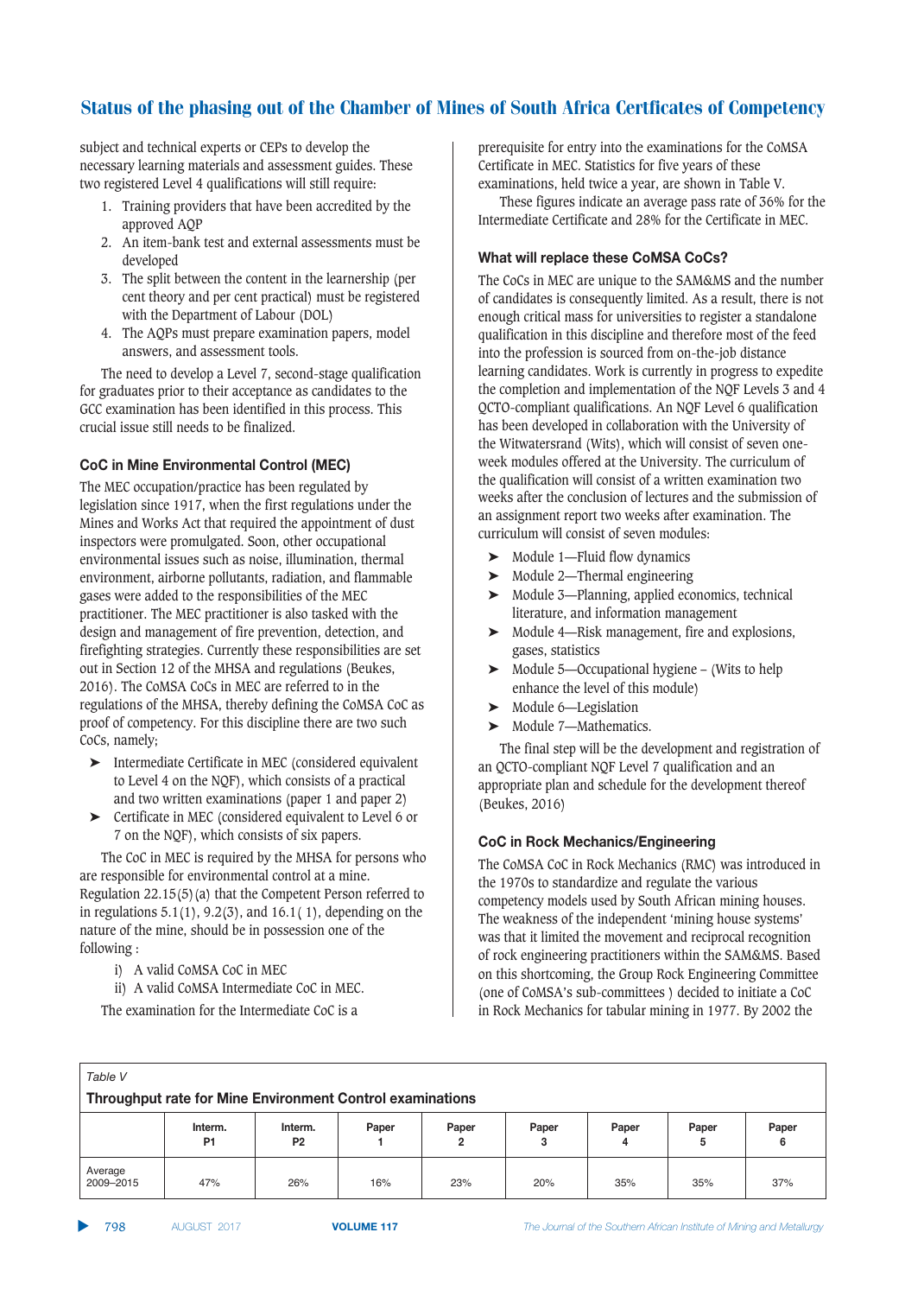subject and technical experts or CEPs to develop the necessary learning materials and assessment guides. These two registered Level 4 qualifications will still require:

- 1. Training providers that have been accredited by the approved AQP
- 2. An item-bank test and external assessments must be developed
- 3. The split between the content in the learnership (per cent theory and per cent practical) must be registered with the Department of Labour (DOL)
- 4. The AQPs must prepare examination papers, model answers, and assessment tools.

The need to develop a Level 7, second-stage qualification for graduates prior to their acceptance as candidates to the GCC examination has been identified in this process. This crucial issue still needs to be finalized.

## **CoC in Mine Environmental Control (MEC)**

The MEC occupation/practice has been regulated by legislation since 1917, when the first regulations under the Mines and Works Act that required the appointment of dust inspectors were promulgated. Soon, other occupational environmental issues such as noise, illumination, thermal environment, airborne pollutants, radiation, and flammable gases were added to the responsibilities of the MEC practitioner. The MEC practitioner is also tasked with the design and management of fire prevention, detection, and firefighting strategies. Currently these responsibilities are set out in Section 12 of the MHSA and regulations (Beukes, 2016). The CoMSA CoCs in MEC are referred to in the regulations of the MHSA, thereby defining the CoMSA CoC as proof of competency. For this discipline there are two such CoCs, namely;

- ➤ Intermediate Certificate in MEC (considered equivalent to Level 4 on the NQF), which consists of a practical and two written examinations (paper 1 and paper 2)
- ➤ Certificate in MEC (considered equivalent to Level 6 or 7 on the NQF), which consists of six papers.

The CoC in MEC is required by the MHSA for persons who are responsible for environmental control at a mine. Regulation 22.15(5)(a) that the Competent Person referred to

in regulations  $5.1(1)$ ,  $9.2(3)$ , and  $16.1(1)$ , depending on the nature of the mine, should be in possession one of the following :

i) A valid CoMSA CoC in MEC

ii) A valid CoMSA Intermediate CoC in MEC. The examination for the Intermediate CoC is a

prerequisite for entry into the examinations for the CoMSA Certificate in MEC. Statistics for five years of these examinations, held twice a year, are shown in Table V.

These figures indicate an average pass rate of 36% for the Intermediate Certificate and 28% for the Certificate in MEC.

# **What will replace these CoMSA CoCs?**

The CoCs in MEC are unique to the SAM&MS and the number of candidates is consequently limited. As a result, there is not enough critical mass for universities to register a standalone qualification in this discipline and therefore most of the feed into the profession is sourced from on-the-job distance learning candidates. Work is currently in progress to expedite the completion and implementation of the NQF Levels 3 and 4 QCTO-compliant qualifications. An NQF Level 6 qualification has been developed in collaboration with the University of the Witwatersrand (Wits), which will consist of seven oneweek modules offered at the University. The curriculum of the qualification will consist of a written examination two weeks after the conclusion of lectures and the submission of an assignment report two weeks after examination. The curriculum will consist of seven modules:

- ➤ Module 1—Fluid flow dynamics
- ➤ Module 2—Thermal engineering
- ➤ Module 3—Planning, applied economics, technical literature, and information management
- ➤ Module 4—Risk management, fire and explosions, gases, statistics
- ➤ Module 5—Occupational hygiene (Wits to help enhance the level of this module)
- ➤ Module 6—Legislation
- ➤ Module 7—Mathematics.

The final step will be the development and registration of an QCTO-compliant NQF Level 7 qualification and an appropriate plan and schedule for the development thereof (Beukes, 2016)

## **CoC in Rock Mechanics/Engineering**

The CoMSA CoC in Rock Mechanics (RMC) was introduced in the 1970s to standardize and regulate the various competency models used by South African mining houses. The weakness of the independent 'mining house systems' was that it limited the movement and reciprocal recognition of rock engineering practitioners within the SAM&MS. Based on this shortcoming, the Group Rock Engineering Committee (one of CoMSA's sub-committees ) decided to initiate a CoC in Rock Mechanics for tabular mining in 1977. By 2002 the

| Table V                                                   |                           |                           |       |            |            |            |            |            |
|-----------------------------------------------------------|---------------------------|---------------------------|-------|------------|------------|------------|------------|------------|
| Throughput rate for Mine Environment Control examinations |                           |                           |       |            |            |            |            |            |
|                                                           | Interm.<br>P <sub>1</sub> | Interm.<br>P <sub>2</sub> | Paper | Paper<br>2 | Paper<br>з | Paper<br>4 | Paper<br>5 | Paper<br>6 |
| Average<br>2009-2015                                      | 47%                       | 26%                       | 16%   | 23%        | 20%        | 35%        | 35%        | 37%        |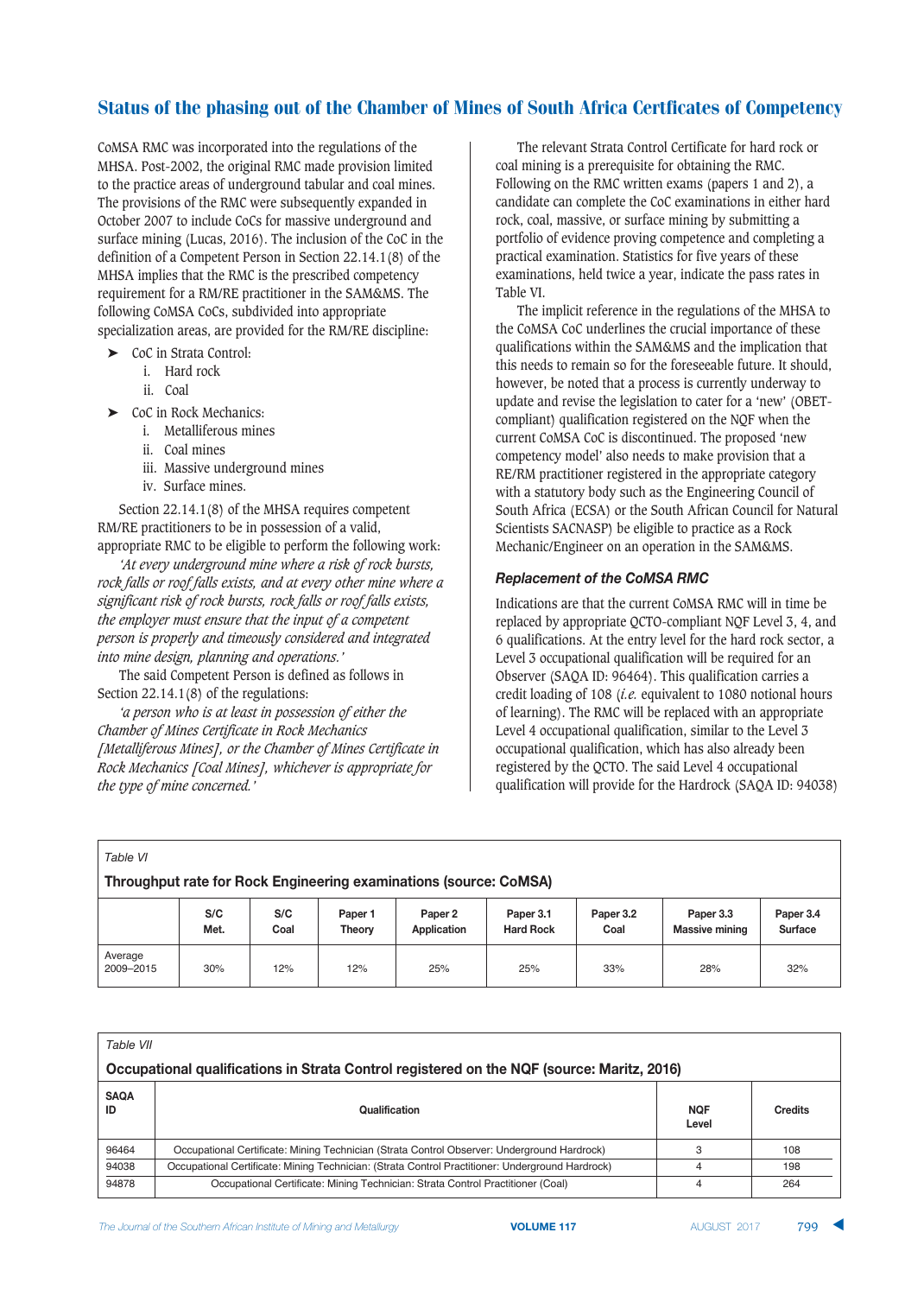CoMSA RMC was incorporated into the regulations of the MHSA. Post-2002, the original RMC made provision limited to the practice areas of underground tabular and coal mines. The provisions of the RMC were subsequently expanded in October 2007 to include CoCs for massive underground and surface mining (Lucas, 2016). The inclusion of the CoC in the definition of a Competent Person in Section 22.14.1(8) of the MHSA implies that the RMC is the prescribed competency requirement for a RM/RE practitioner in the SAM&MS. The following CoMSA CoCs, subdivided into appropriate specialization areas, are provided for the RM/RE discipline:

- ➤ CoC in Strata Control:
	- i. Hard rock
	- ii. Coal
- ➤ CoC in Rock Mechanics:
	- i. Metalliferous mines
	- ii. Coal mines
	- iii. Massive underground mines
	- iv. Surface mines.

Section 22.14.1(8) of the MHSA requires competent RM/RE practitioners to be in possession of a valid, appropriate RMC to be eligible to perform the following work:

*'At every underground mine where a risk of rock bursts, rock falls or roof falls exists, and at every other mine where a significant risk of rock bursts, rock falls or roof falls exists, the employer must ensure that the input of a competent person is properly and timeously considered and integrated into mine design, planning and operations.'*

The said Competent Person is defined as follows in Section 22.14.1(8) of the regulations:

*'a person who is at least in possession of either the Chamber of Mines Certificate in Rock Mechanics [Metalliferous Mines], or the Chamber of Mines Certificate in Rock Mechanics [Coal Mines], whichever is appropriate for the type of mine concerned.'*

The relevant Strata Control Certificate for hard rock or coal mining is a prerequisite for obtaining the RMC. Following on the RMC written exams (papers 1 and 2), a candidate can complete the CoC examinations in either hard rock, coal, massive, or surface mining by submitting a portfolio of evidence proving competence and completing a practical examination. Statistics for five years of these examinations, held twice a year, indicate the pass rates in Table VI.

The implicit reference in the regulations of the MHSA to the CoMSA CoC underlines the crucial importance of these qualifications within the SAM&MS and the implication that this needs to remain so for the foreseeable future. It should, however, be noted that a process is currently underway to update and revise the legislation to cater for a 'new' (OBETcompliant) qualification registered on the NQF when the current CoMSA CoC is discontinued. The proposed 'new competency model' also needs to make provision that a RE/RM practitioner registered in the appropriate category with a statutory body such as the Engineering Council of South Africa (ECSA) or the South African Council for Natural Scientists SACNASP) be eligible to practice as a Rock Mechanic/Engineer on an operation in the SAM&MS.

## **Replacement of the CoMSA RMC**

Indications are that the current CoMSA RMC will in time be replaced by appropriate QCTO-compliant NQF Level 3, 4, and 6 qualifications. At the entry level for the hard rock sector, a Level 3 occupational qualification will be required for an Observer (SAQA ID: 96464). This qualification carries a credit loading of 108 (*i.e.* equivalent to 1080 notional hours of learning). The RMC will be replaced with an appropriate Level 4 occupational qualification, similar to the Level 3 occupational qualification, which has also already been registered by the QCTO. The said Level 4 occupational qualification will provide for the Hardrock (SAQA ID: 94038)

| Table VI                                                          |             |             |                          |                        |                               |                   |                                    |                             |
|-------------------------------------------------------------------|-------------|-------------|--------------------------|------------------------|-------------------------------|-------------------|------------------------------------|-----------------------------|
| Throughput rate for Rock Engineering examinations (source: CoMSA) |             |             |                          |                        |                               |                   |                                    |                             |
|                                                                   | S/C<br>Met. | S/C<br>Coal | Paper 1<br><b>Theory</b> | Paper 2<br>Application | Paper 3.1<br><b>Hard Rock</b> | Paper 3.2<br>Coal | Paper 3.3<br><b>Massive mining</b> | Paper 3.4<br><b>Surface</b> |
| Average<br>2009-2015                                              | 30%         | 12%         | 12%                      | 25%                    | 25%                           | 33%               | 28%                                | 32%                         |

| Table VII                                                                                  |                                                                                                  |                     |                |  |  |  |  |
|--------------------------------------------------------------------------------------------|--------------------------------------------------------------------------------------------------|---------------------|----------------|--|--|--|--|
| Occupational qualifications in Strata Control registered on the NQF (source: Maritz, 2016) |                                                                                                  |                     |                |  |  |  |  |
| <b>SAQA</b><br>ID                                                                          | Qualification                                                                                    | <b>NOF</b><br>Level | <b>Credits</b> |  |  |  |  |
| 96464                                                                                      | Occupational Certificate: Mining Technician (Strata Control Observer: Underground Hardrock)      | 3                   | 108            |  |  |  |  |
| 94038                                                                                      | Occupational Certificate: Mining Technician: (Strata Control Practitioner: Underground Hardrock) | 4                   | 198            |  |  |  |  |
| 94878                                                                                      | Occupational Certificate: Mining Technician: Strata Control Practitioner (Coal)                  | 4                   | 264            |  |  |  |  |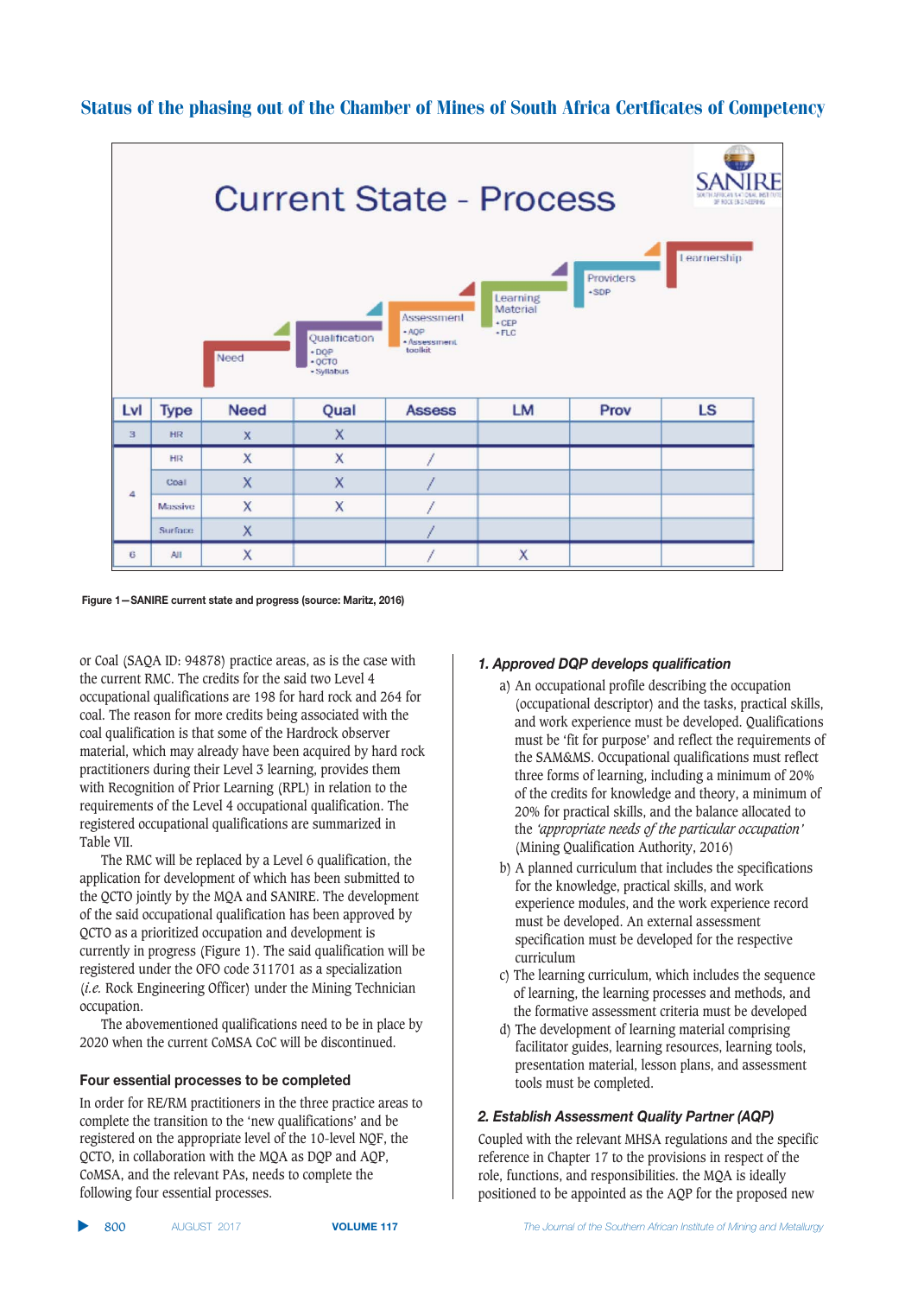

Figure 1-SANIRE current state and progress (source: Maritz, 2016)

or Coal (SAQA ID: 94878) practice areas, as is the case with the current RMC. The credits for the said two Level 4 occupational qualifications are 198 for hard rock and 264 for coal. The reason for more credits being associated with the coal qualification is that some of the Hardrock observer material, which may already have been acquired by hard rock practitioners during their Level 3 learning, provides them with Recognition of Prior Learning (RPL) in relation to the requirements of the Level 4 occupational qualification. The registered occupational qualifications are summarized in Table VII.

The RMC will be replaced by a Level 6 qualification, the application for development of which has been submitted to the QCTO jointly by the MQA and SANIRE. The development of the said occupational qualification has been approved by QCTO as a prioritized occupation and development is currently in progress (Figure 1). The said qualification will be registered under the OFO code 311701 as a specialization (*i.e.* Rock Engineering Officer) under the Mining Technician occupation.

The abovementioned qualifications need to be in place by 2020 when the current CoMSA CoC will be discontinued.

## **Four essential processes to be completed**

In order for RE/RM practitioners in the three practice areas to complete the transition to the 'new qualifications' and be registered on the appropriate level of the 10-level NQF, the QCTO, in collaboration with the MQA as DQP and AQP, CoMSA, and the relevant PAs, needs to complete the following four essential processes.

#### 1. Approved DQP develops qualification

- a) An occupational profile describing the occupation (occupational descriptor) and the tasks, practical skills, and work experience must be developed. Qualifications must be 'fit for purpose' and reflect the requirements of the SAM&MS. Occupational qualifications must reflect three forms of learning, including a minimum of 20% of the credits for knowledge and theory, a minimum of 20% for practical skills, and the balance allocated to the *'appropriate needs of the particular occupation'* (Mining Qualification Authority, 2016)
- b) A planned curriculum that includes the specifications for the knowledge, practical skills, and work experience modules, and the work experience record must be developed. An external assessment specification must be developed for the respective curriculum
- c) The learning curriculum, which includes the sequence of learning, the learning processes and methods, and the formative assessment criteria must be developed
- d) The development of learning material comprising facilitator guides, learning resources, learning tools, presentation material, lesson plans, and assessment tools must be completed.

#### 2. Establish Assessment Quality Partner (AQP)

Coupled with the relevant MHSA regulations and the specific reference in Chapter 17 to the provisions in respect of the role, functions, and responsibilities. the MQA is ideally positioned to be appointed as the AQP for the proposed new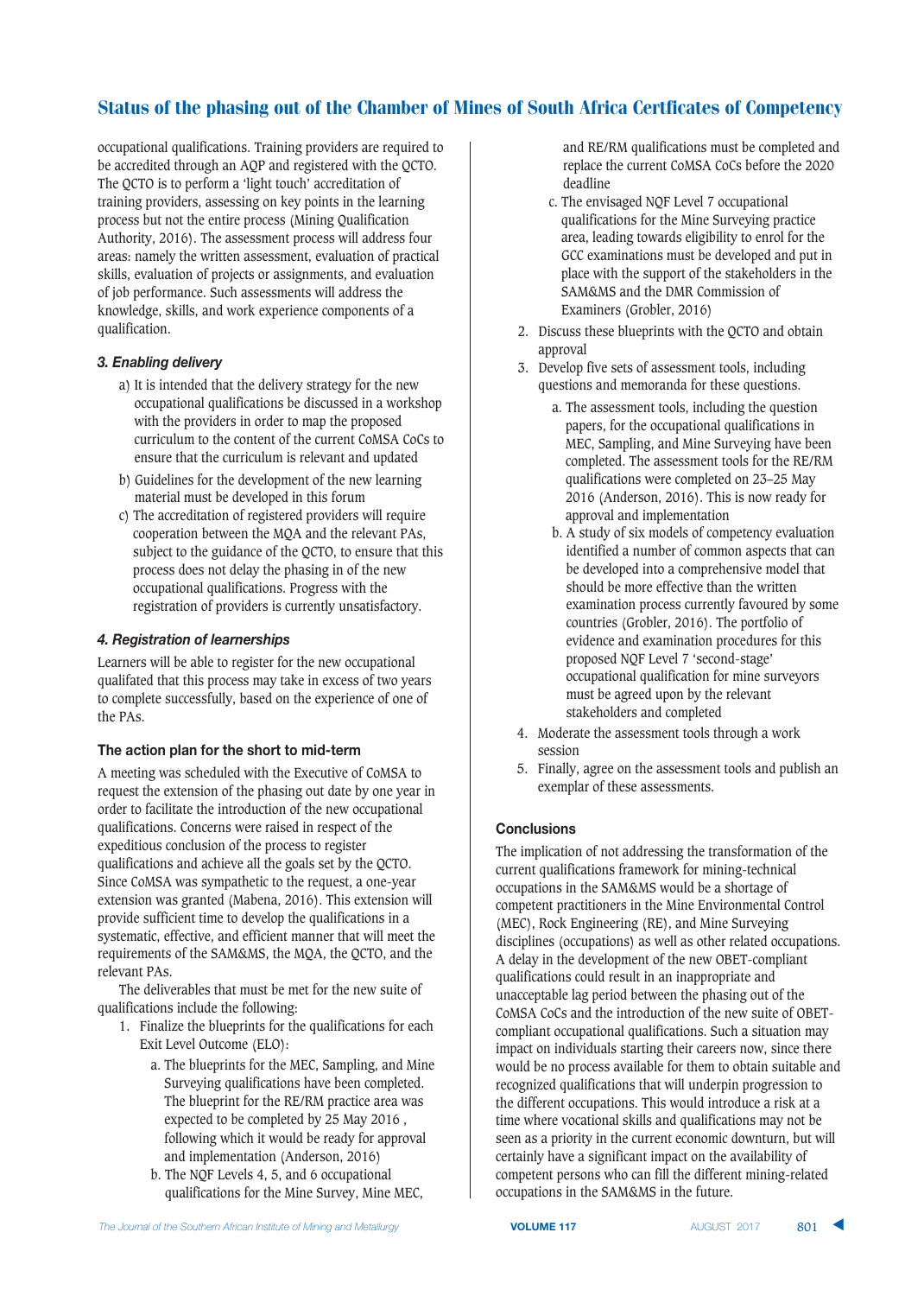occupational qualifications. Training providers are required to be accredited through an AQP and registered with the QCTO. The QCTO is to perform a 'light touch' accreditation of training providers, assessing on key points in the learning process but not the entire process (Mining Qualification Authority, 2016). The assessment process will address four areas: namely the written assessment, evaluation of practical skills, evaluation of projects or assignments, and evaluation of job performance. Such assessments will address the knowledge, skills, and work experience components of a qualification.

# 3. Enabling delivery

- a) It is intended that the delivery strategy for the new occupational qualifications be discussed in a workshop with the providers in order to map the proposed curriculum to the content of the current CoMSA CoCs to ensure that the curriculum is relevant and updated
- b) Guidelines for the development of the new learning material must be developed in this forum
- c) The accreditation of registered providers will require cooperation between the MQA and the relevant PAs, subject to the guidance of the QCTO, to ensure that this process does not delay the phasing in of the new occupational qualifications. Progress with the registration of providers is currently unsatisfactory.

## **4. Registration of learnerships**

Learners will be able to register for the new occupational qualifated that this process may take in excess of two years to complete successfully, based on the experience of one of the PAs.

## The action plan for the short to mid-term

A meeting was scheduled with the Executive of CoMSA to request the extension of the phasing out date by one year in order to facilitate the introduction of the new occupational qualifications. Concerns were raised in respect of the expeditious conclusion of the process to register qualifications and achieve all the goals set by the QCTO. Since CoMSA was sympathetic to the request, a one-year extension was granted (Mabena, 2016). This extension will provide sufficient time to develop the qualifications in a systematic, effective, and efficient manner that will meet the requirements of the SAM&MS, the MQA, the QCTO, and the relevant PAs.

The deliverables that must be met for the new suite of qualifications include the following:

- 1. Finalize the blueprints for the qualifications for each Exit Level Outcome (ELO):
	- a. The blueprints for the MEC, Sampling, and Mine Surveying qualifications have been completed. The blueprint for the RE/RM practice area was expected to be completed by 25 May 2016 , following which it would be ready for approval and implementation (Anderson, 2016)
	- b. The NQF Levels 4, 5, and 6 occupational qualifications for the Mine Survey, Mine MEC,

and RE/RM qualifications must be completed and replace the current CoMSA CoCs before the 2020 deadline

- c. The envisaged NQF Level 7 occupational qualifications for the Mine Surveying practice area, leading towards eligibility to enrol for the GCC examinations must be developed and put in place with the support of the stakeholders in the SAM&MS and the DMR Commission of Examiners (Grobler, 2016)
- 2. Discuss these blueprints with the QCTO and obtain approval
- 3. Develop five sets of assessment tools, including questions and memoranda for these questions.
	- a. The assessment tools, including the question papers, for the occupational qualifications in MEC, Sampling, and Mine Surveying have been completed. The assessment tools for the RE/RM qualifications were completed on 23–25 May 2016 (Anderson, 2016). This is now ready for approval and implementation
	- b. A study of six models of competency evaluation identified a number of common aspects that can be developed into a comprehensive model that should be more effective than the written examination process currently favoured by some countries (Grobler, 2016). The portfolio of evidence and examination procedures for this proposed NQF Level 7 'second-stage' occupational qualification for mine surveyors must be agreed upon by the relevant stakeholders and completed
- 4. Moderate the assessment tools through a work session
- 5. Finally, agree on the assessment tools and publish an exemplar of these assessments.

# **Conclusions**

The implication of not addressing the transformation of the current qualifications framework for mining-technical occupations in the SAM&MS would be a shortage of competent practitioners in the Mine Environmental Control (MEC), Rock Engineering (RE), and Mine Surveying disciplines (occupations) as well as other related occupations. A delay in the development of the new OBET-compliant qualifications could result in an inappropriate and unacceptable lag period between the phasing out of the CoMSA CoCs and the introduction of the new suite of OBETcompliant occupational qualifications. Such a situation may impact on individuals starting their careers now, since there would be no process available for them to obtain suitable and recognized qualifications that will underpin progression to the different occupations. This would introduce a risk at a time where vocational skills and qualifications may not be seen as a priority in the current economic downturn, but will certainly have a significant impact on the availability of competent persons who can fill the different mining-related occupations in the SAM&MS in the future.